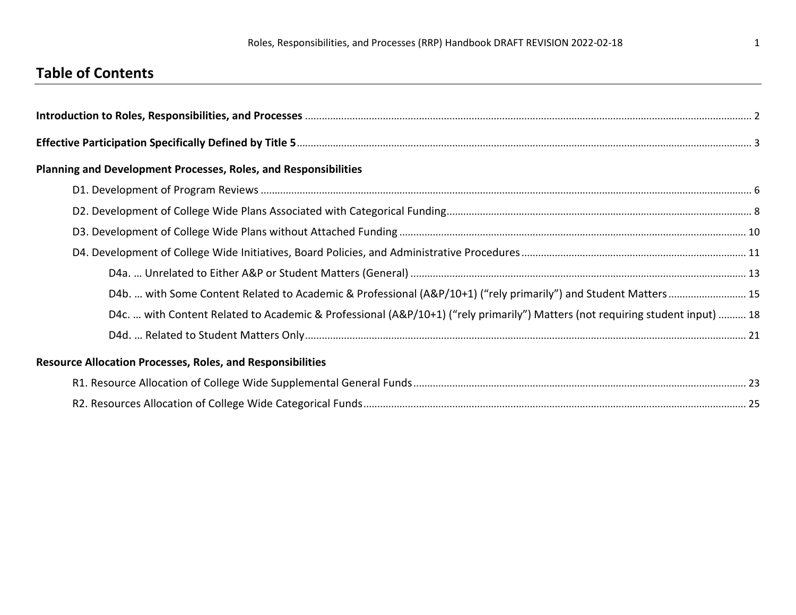# **Table of Contents**

| <b>Planning and Development Processes, Roles, and Responsibilities</b>                                                        |  |
|-------------------------------------------------------------------------------------------------------------------------------|--|
|                                                                                                                               |  |
|                                                                                                                               |  |
|                                                                                                                               |  |
|                                                                                                                               |  |
|                                                                                                                               |  |
| D4b.  with Some Content Related to Academic & Professional (A&P/10+1) ("rely primarily") and Student Matters  15              |  |
| D4c.  with Content Related to Academic & Professional (A&P/10+1) ("rely primarily") Matters (not requiring student input)  18 |  |
|                                                                                                                               |  |
| <b>Resource Allocation Processes, Roles, and Responsibilities</b>                                                             |  |
|                                                                                                                               |  |
|                                                                                                                               |  |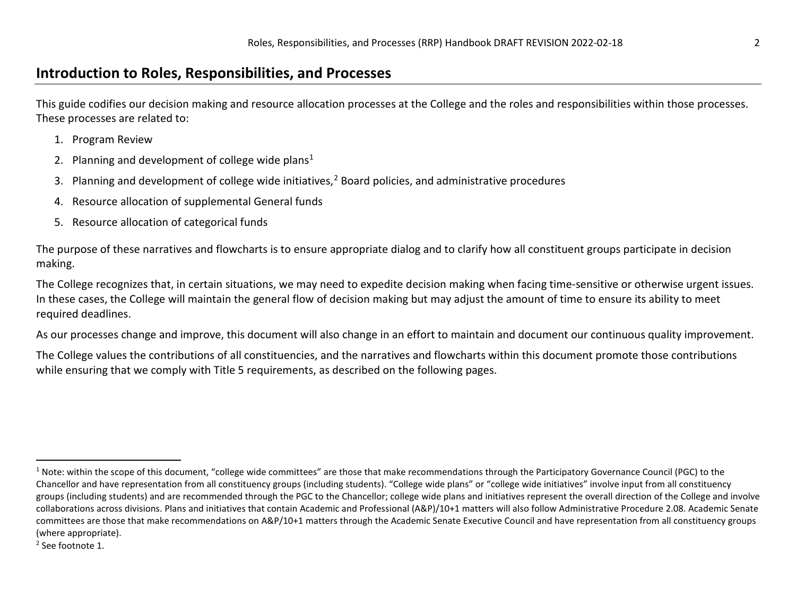### <span id="page-1-1"></span><span id="page-1-0"></span>**Introduction to Roles, Responsibilities, and Processes**

This guide codifies our decision making and resource allocation processes at the College and the roles and responsibilities within those processes. These processes are related to:

- 1. Program Review
- 2. Planning and development of college wide plans<sup>[1](#page-1-0)</sup>
- 3. Planning and development of college wide initiatives,<sup>[2](#page-1-1)</sup> Board policies, and administrative procedures
- 4. Resource allocation of supplemental General funds
- 5. Resource allocation of categorical funds

The purpose of these narratives and flowcharts is to ensure appropriate dialog and to clarify how all constituent groups participate in decision making.

The College recognizes that, in certain situations, we may need to expedite decision making when facing time-sensitive or otherwise urgent issues. In these cases, the College will maintain the general flow of decision making but may adjust the amount of time to ensure its ability to meet required deadlines.

As our processes change and improve, this document will also change in an effort to maintain and document our continuous quality improvement.

The College values the contributions of all constituencies, and the narratives and flowcharts within this document promote those contributions while ensuring that we comply with Title 5 requirements, as described on the following pages.

<sup>2</sup> See footnote 1.

 $1$  Note: within the scope of this document, "college wide committees" are those that make recommendations through the Participatory Governance Council (PGC) to the Chancellor and have representation from all constituency groups (including students). "College wide plans" or "college wide initiatives" involve input from all constituency groups (including students) and are recommended through the PGC to the Chancellor; college wide plans and initiatives represent the overall direction of the College and involve collaborations across divisions. Plans and initiatives that contain Academic and Professional (A&P)/10+1 matters will also follow Administrative Procedure 2.08. Academic Senate committees are those that make recommendations on A&P/10+1 matters through the Academic Senate Executive Council and have representation from all constituency groups (where appropriate).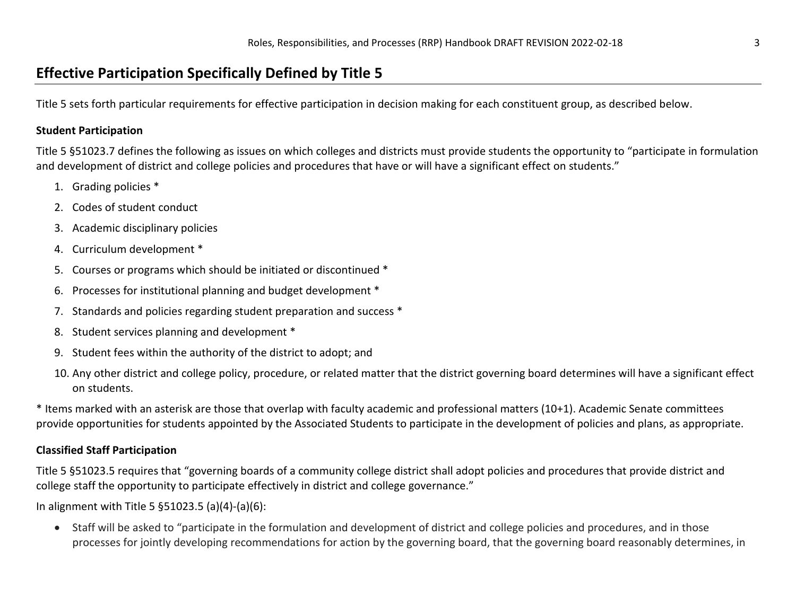### **Effective Participation Specifically Defined by Title 5**

Title 5 sets forth particular requirements for effective participation in decision making for each constituent group, as described below.

#### **Student Participation**

Title 5 §51023.7 defines the following as issues on which colleges and districts must provide students the opportunity to "participate in formulation and development of district and college policies and procedures that have or will have a significant effect on students."

- 1. Grading policies \*
- 2. Codes of student conduct
- 3. Academic disciplinary policies
- 4. Curriculum development \*
- 5. Courses or programs which should be initiated or discontinued \*
- 6. Processes for institutional planning and budget development \*
- 7. Standards and policies regarding student preparation and success \*
- 8. Student services planning and development \*
- 9. Student fees within the authority of the district to adopt; and
- 10. Any other district and college policy, procedure, or related matter that the district governing board determines will have a significant effect on students.

\* Items marked with an asterisk are those that overlap with faculty academic and professional matters (10+1). Academic Senate committees provide opportunities for students appointed by the Associated Students to participate in the development of policies and plans, as appropriate.

#### **Classified Staff Participation**

Title 5 §51023.5 requires that "governing boards of a community college district shall adopt policies and procedures that provide district and college staff the opportunity to participate effectively in district and college governance."

In alignment with Title 5 §51023.5 (a)(4)-(a)(6):

• Staff will be asked to "participate in the formulation and development of district and college policies and procedures, and in those processes for jointly developing recommendations for action by the governing board, that the governing board reasonably determines, in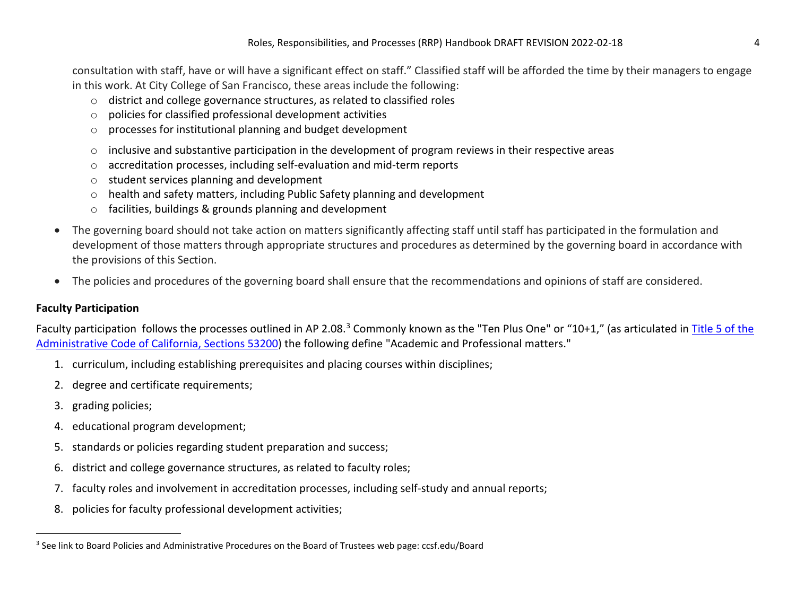consultation with staff, have or will have a significant effect on staff." Classified staff will be afforded the time by their managers to engage in this work. At City College of San Francisco, these areas include the following:

- <span id="page-3-0"></span>o district and college governance structures, as related to classified roles
- o policies for classified professional development activities
- o processes for institutional planning and budget development
- o inclusive and substantive participation in the development of program reviews in their respective areas
- o accreditation processes, including self-evaluation and mid-term reports
- o student services planning and development
- o health and safety matters, including Public Safety planning and development
- o facilities, buildings & grounds planning and development
- The governing board should not take action on matters significantly affecting staff until staff has participated in the formulation and development of those matters through appropriate structures and procedures as determined by the governing board in accordance with the provisions of this Section.
- The policies and procedures of the governing board shall ensure that the recommendations and opinions of staff are considered.

#### **Faculty Participation**

Faculty participation follows the processes outlined in AP 2.08.<sup>[3](#page-3-0)</sup> Commonly known as the "Ten Plus One" or "10+1," (as articulated in Title 5 of the [Administrative Code of California, Sections 53200\)](https://govt.westlaw.com/calregs/Document/I6EED7180D48411DEBC02831C6D6C108E?contextData=%28sc.Default%29&transitionType=Default) the following define "Academic and Professional matters."

- 1. curriculum, including establishing prerequisites and placing courses within disciplines;
- 2. degree and certificate requirements;
- 3. grading policies;
- 4. educational program development;
- 5. standards or policies regarding student preparation and success;
- 6. district and college governance structures, as related to faculty roles;
- 7. faculty roles and involvement in accreditation processes, including self-study and annual reports;
- 8. policies for faculty professional development activities;

<sup>&</sup>lt;sup>3</sup> See link to Board Policies and Administrative Procedures on the Board of Trustees web page: ccsf.edu/Board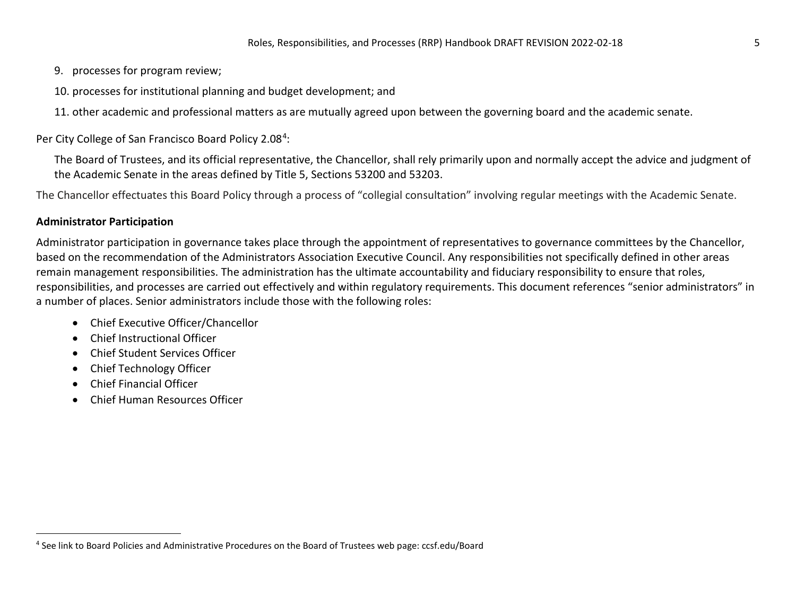- <span id="page-4-0"></span>9. processes for program review;
- 10. processes for institutional planning and budget development; and

11. other academic and professional matters as are mutually agreed upon between the governing board and the academic senate.

Per City College of San Francisco Board Policy 2.08<sup>[4](#page-4-0)</sup>:

The Board of Trustees, and its official representative, the Chancellor, shall rely primarily upon and normally accept the advice and judgment of the Academic Senate in the areas defined by Title 5, Sections 53200 and 53203.

The Chancellor effectuates this Board Policy through a process of "collegial consultation" involving regular meetings with the Academic Senate.

#### **Administrator Participation**

Administrator participation in governance takes place through the appointment of representatives to governance committees by the Chancellor, based on the recommendation of the Administrators Association Executive Council. Any responsibilities not specifically defined in other areas remain management responsibilities. The administration has the ultimate accountability and fiduciary responsibility to ensure that roles, responsibilities, and processes are carried out effectively and within regulatory requirements. This document references "senior administrators" in a number of places. Senior administrators include those with the following roles:

- Chief Executive Officer/Chancellor
- Chief Instructional Officer
- Chief Student Services Officer
- Chief Technology Officer
- Chief Financial Officer
- Chief Human Resources Officer

<sup>4</sup> See link to Board Policies and Administrative Procedures on the Board of Trustees web page: ccsf.edu/Board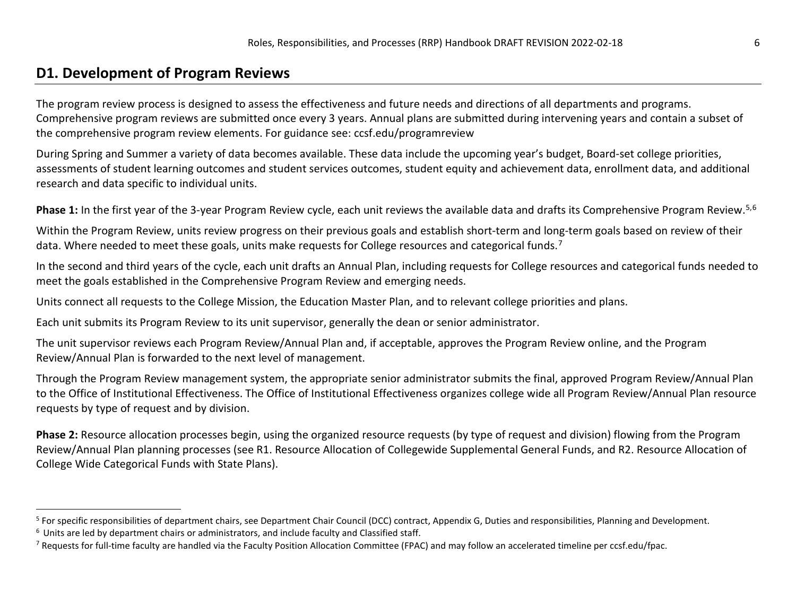### <span id="page-5-2"></span><span id="page-5-1"></span><span id="page-5-0"></span>**D1. Development of Program Reviews**

The program review process is designed to assess the effectiveness and future needs and directions of all departments and programs. Comprehensive program reviews are submitted once every 3 years. Annual plans are submitted during intervening years and contain a subset of the comprehensive program review elements. For guidance see: ccsf.edu/programreview

During Spring and Summer a variety of data becomes available. These data include the upcoming year's budget, Board-set college priorities, assessments of student learning outcomes and student services outcomes, student equity and achievement data, enrollment data, and additional research and data specific to individual units.

Phase 1: In the first year of the 3-year Program Review cycle, each unit reviews the available data and drafts its Comprehensive Program Review.<sup>[5](#page-5-0),[6](#page-5-1)</sup>

Within the Program Review, units review progress on their previous goals and establish short-term and long-term goals based on review of their data. Where needed to meet these goals, units make requests for College resources and categorical funds.<sup>7</sup>

In the second and third years of the cycle, each unit drafts an Annual Plan, including requests for College resources and categorical funds needed to meet the goals established in the Comprehensive Program Review and emerging needs.

Units connect all requests to the College Mission, the Education Master Plan, and to relevant college priorities and plans.

Each unit submits its Program Review to its unit supervisor, generally the dean or senior administrator.

The unit supervisor reviews each Program Review/Annual Plan and, if acceptable, approves the Program Review online, and the Program Review/Annual Plan is forwarded to the next level of management.

Through the Program Review management system, the appropriate senior administrator submits the final, approved Program Review/Annual Plan to the Office of Institutional Effectiveness. The Office of Institutional Effectiveness organizes college wide all Program Review/Annual Plan resource requests by type of request and by division.

**Phase 2:** Resource allocation processes begin, using the organized resource requests (by type of request and division) flowing from the Program Review/Annual Plan planning processes (see R1. Resource Allocation of Collegewide Supplemental General Funds, and R2. Resource Allocation of College Wide Categorical Funds with State Plans).

<sup>&</sup>lt;sup>5</sup> For specific responsibilities of department chairs, see Department Chair Council (DCC) contract, Appendix G, Duties and responsibilities, Planning and Development.

 $6$  Units are led by department chairs or administrators, and include faculty and Classified staff.<br>7 Requests for full-time faculty are handled via the Faculty Position Allocation Committee (FPAC) and may follow an accel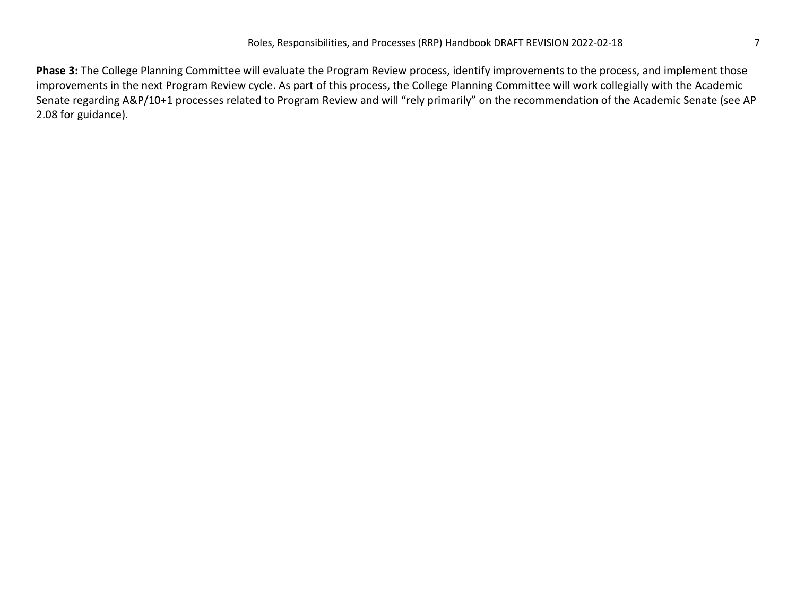**Phase 3:** The College Planning Committee will evaluate the Program Review process, identify improvements to the process, and implement those improvements in the next Program Review cycle. As part of this process, the College Planning Committee will work collegially with the Academic Senate regarding A&P/10+1 processes related to Program Review and will "rely primarily" on the recommendation of the Academic Senate (see AP 2.08 for guidance).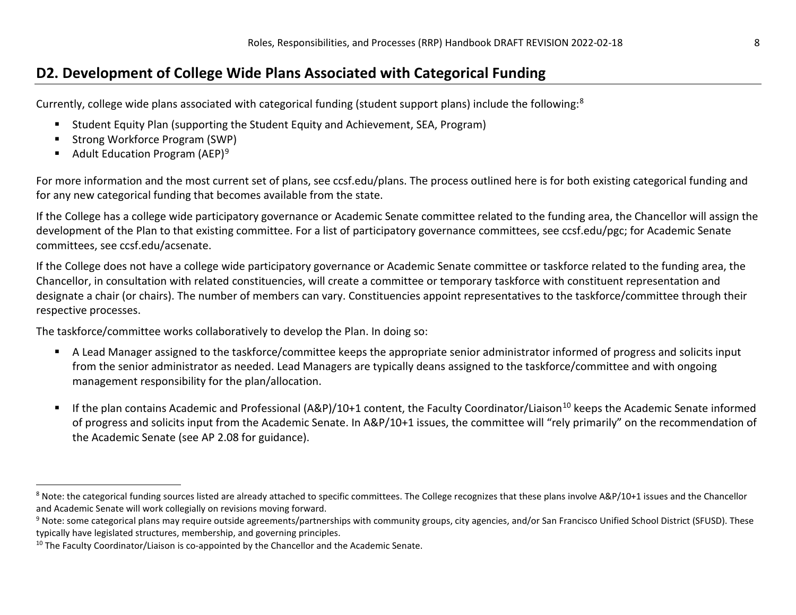### <span id="page-7-2"></span><span id="page-7-1"></span><span id="page-7-0"></span>**D2. Development of College Wide Plans Associated with Categorical Funding**

Currently, college wide plans associated with categorical funding (student support plans) include the following:[8](#page-7-0) 

- Student Equity Plan (supporting the Student Equity and Achievement, SEA, Program)
- Strong Workforce Program (SWP)
- Adult Education Program (AEP)<sup>[9](#page-7-1)</sup>

For more information and the most current set of plans, see ccsf.edu/plans. The process outlined here is for both existing categorical funding and for any new categorical funding that becomes available from the state.

If the College has a college wide participatory governance or Academic Senate committee related to the funding area, the Chancellor will assign the development of the Plan to that existing committee. For a list of participatory governance committees, see ccsf.edu/pgc; for Academic Senate committees, see ccsf.edu/acsenate.

If the College does not have a college wide participatory governance or Academic Senate committee or taskforce related to the funding area, the Chancellor, in consultation with related constituencies, will create a committee or temporary taskforce with constituent representation and designate a chair (or chairs). The number of members can vary. Constituencies appoint representatives to the taskforce/committee through their respective processes.

The taskforce/committee works collaboratively to develop the Plan. In doing so:

- A Lead Manager assigned to the taskforce/committee keeps the appropriate senior administrator informed of progress and solicits input from the senior administrator as needed. Lead Managers are typically deans assigned to the taskforce/committee and with ongoing management responsibility for the plan/allocation.
- If the plan contains Academic and Professional (A&P)/[10](#page-7-2)+1 content, the Faculty Coordinator/Liaison<sup>10</sup> keeps the Academic Senate informed of progress and solicits input from the Academic Senate. In A&P/10+1 issues, the committee will "rely primarily" on the recommendation of the Academic Senate (see AP 2.08 for guidance).

<sup>8</sup> Note: the categorical funding sources listed are already attached to specific committees. The College recognizes that these plans involve A&P/10+1 issues and the Chancellor and Academic Senate will work collegially on revisions moving forward.

<sup>&</sup>lt;sup>9</sup> Note: some categorical plans may require outside agreements/partnerships with community groups, city agencies, and/or San Francisco Unified School District (SFUSD). These typically have legislated structures, membership, and governing principles.

<sup>&</sup>lt;sup>10</sup> The Faculty Coordinator/Liaison is co-appointed by the Chancellor and the Academic Senate.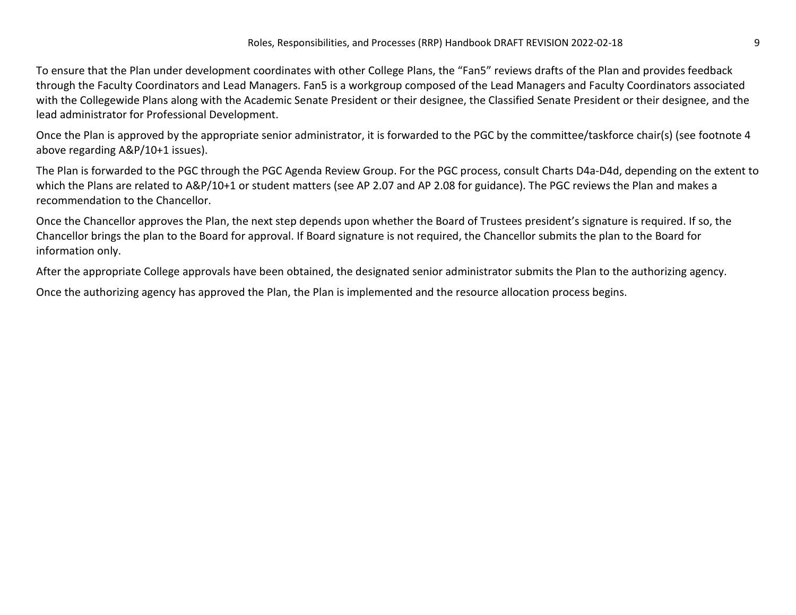To ensure that the Plan under development coordinates with other College Plans, the "Fan5" reviews drafts of the Plan and provides feedback through the Faculty Coordinators and Lead Managers. Fan5 is a workgroup composed of the Lead Managers and Faculty Coordinators associated with the Collegewide Plans along with the Academic Senate President or their designee, the Classified Senate President or their designee, and the lead administrator for Professional Development.

Once the Plan is approved by the appropriate senior administrator, it is forwarded to the PGC by the committee/taskforce chair(s) (see footnote 4 above regarding A&P/10+1 issues).

The Plan is forwarded to the PGC through the PGC Agenda Review Group. For the PGC process, consult Charts D4a-D4d, depending on the extent to which the Plans are related to A&P/10+1 or student matters (see AP 2.07 and AP 2.08 for guidance). The PGC reviews the Plan and makes a recommendation to the Chancellor.

Once the Chancellor approves the Plan, the next step depends upon whether the Board of Trustees president's signature is required. If so, the Chancellor brings the plan to the Board for approval. If Board signature is not required, the Chancellor submits the plan to the Board for information only.

After the appropriate College approvals have been obtained, the designated senior administrator submits the Plan to the authorizing agency.

Once the authorizing agency has approved the Plan, the Plan is implemented and the resource allocation process begins.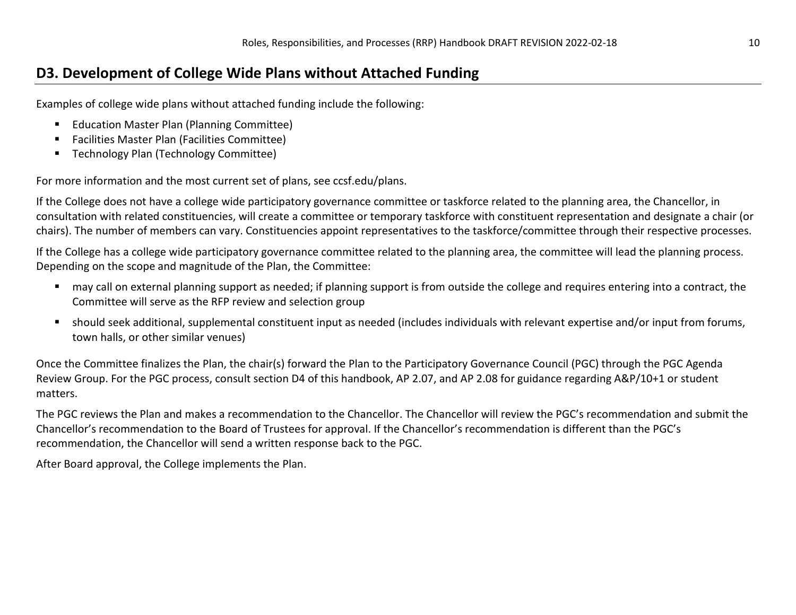### **D3. Development of College Wide Plans without Attached Funding**

Examples of college wide plans without attached funding include the following:

- **Education Master Plan (Planning Committee)**
- Facilities Master Plan (Facilities Committee)
- **Technology Plan (Technology Committee)**

For more information and the most current set of plans, see ccsf.edu/plans.

If the College does not have a college wide participatory governance committee or taskforce related to the planning area, the Chancellor, in consultation with related constituencies, will create a committee or temporary taskforce with constituent representation and designate a chair (or chairs). The number of members can vary. Constituencies appoint representatives to the taskforce/committee through their respective processes.

If the College has a college wide participatory governance committee related to the planning area, the committee will lead the planning process. Depending on the scope and magnitude of the Plan, the Committee:

- may call on external planning support as needed; if planning support is from outside the college and requires entering into a contract, the Committee will serve as the RFP review and selection group
- should seek additional, supplemental constituent input as needed (includes individuals with relevant expertise and/or input from forums, town halls, or other similar venues)

Once the Committee finalizes the Plan, the chair(s) forward the Plan to the Participatory Governance Council (PGC) through the PGC Agenda Review Group. For the PGC process, consult section D4 of this handbook, AP 2.07, and AP 2.08 for guidance regarding A&P/10+1 or student matters.

The PGC reviews the Plan and makes a recommendation to the Chancellor. The Chancellor will review the PGC's recommendation and submit the Chancellor's recommendation to the Board of Trustees for approval. If the Chancellor's recommendation is different than the PGC's recommendation, the Chancellor will send a written response back to the PGC.

After Board approval, the College implements the Plan.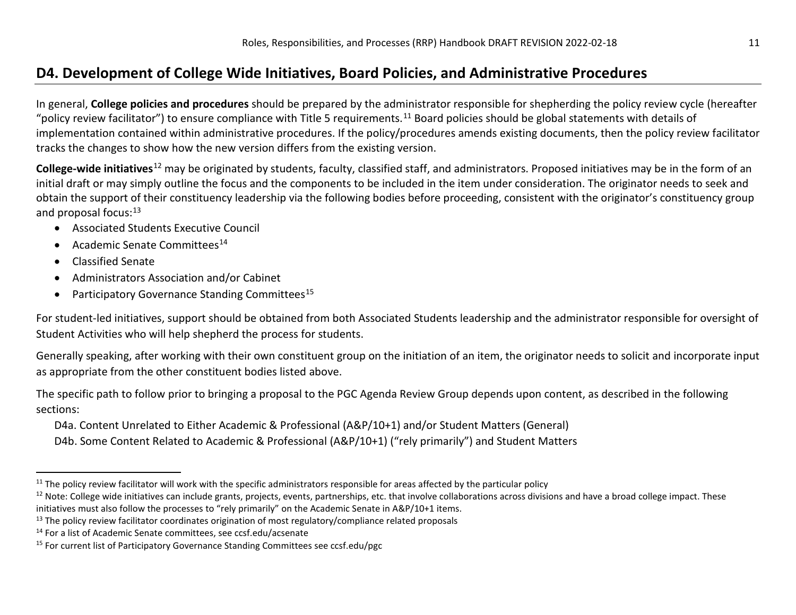## <span id="page-10-4"></span><span id="page-10-3"></span><span id="page-10-2"></span><span id="page-10-1"></span><span id="page-10-0"></span>**D4. Development of College Wide Initiatives, Board Policies, and Administrative Procedures**

In general, **College policies and procedures** should be prepared by the administrator responsible for shepherding the policy review cycle (hereafter "policy review facilitator") to ensure compliance with Title 5 requirements.<sup>[11](#page-10-0)</sup> Board policies should be global statements with details of implementation contained within administrative procedures. If the policy/procedures amends existing documents, then the policy review facilitator tracks the changes to show how the new version differs from the existing version.

**College-wide initiatives**[12](#page-10-1) may be originated by students, faculty, classified staff, and administrators. Proposed initiatives may be in the form of an initial draft or may simply outline the focus and the components to be included in the item under consideration. The originator needs to seek and obtain the support of their constituency leadership via the following bodies before proceeding, consistent with the originator's constituency group and proposal focus:<sup>[13](#page-10-2)</sup>

- Associated Students Executive Council
- Academic Senate Committees<sup>[14](#page-10-3)</sup>
- Classified Senate
- Administrators Association and/or Cabinet
- Participatory Governance Standing Committees<sup>[15](#page-10-4)</sup>

For student-led initiatives, support should be obtained from both Associated Students leadership and the administrator responsible for oversight of Student Activities who will help shepherd the process for students.

Generally speaking, after working with their own constituent group on the initiation of an item, the originator needs to solicit and incorporate input as appropriate from the other constituent bodies listed above.

The specific path to follow prior to bringing a proposal to the PGC Agenda Review Group depends upon content, as described in the following sections:

D4a. Content Unrelated to Either Academic & Professional (A&P/10+1) and/or Student Matters (General)

D4b. Some Content Related to Academic & Professional (A&P/10+1) ("rely primarily") and Student Matters

 $11$  The policy review facilitator will work with the specific administrators responsible for areas affected by the particular policy

<sup>&</sup>lt;sup>12</sup> Note: College wide initiatives can include grants, projects, events, partnerships, etc. that involve collaborations across divisions and have a broad college impact. These initiatives must also follow the processes to "rely primarily" on the Academic Senate in A&P/10+1 items.

<sup>&</sup>lt;sup>13</sup> The policy review facilitator coordinates origination of most regulatory/compliance related proposals

<sup>14</sup> For a list of Academic Senate committees, see ccsf.edu/acsenate

<sup>&</sup>lt;sup>15</sup> For current list of Participatory Governance Standing Committees see ccsf.edu/pgc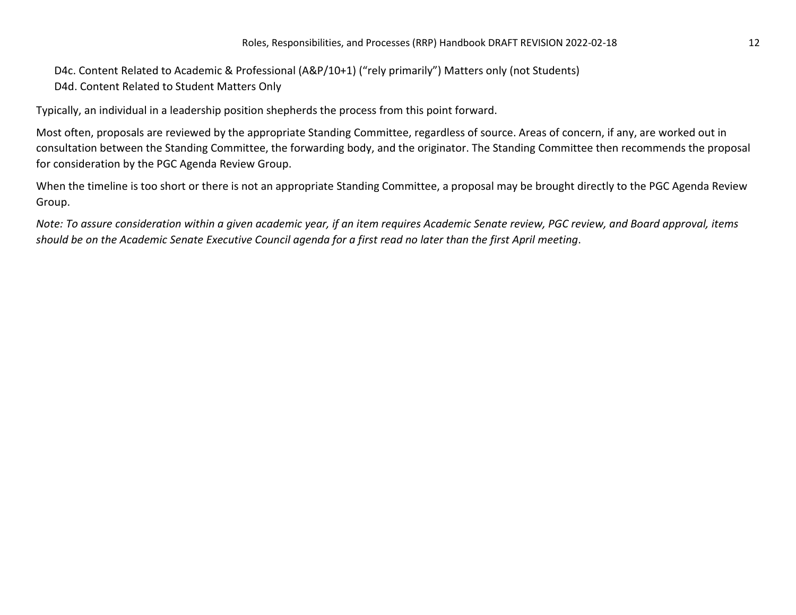D4c. Content Related to Academic & Professional (A&P/10+1) ("rely primarily") Matters only (not Students) D4d. Content Related to Student Matters Only

Typically, an individual in a leadership position shepherds the process from this point forward.

Most often, proposals are reviewed by the appropriate Standing Committee, regardless of source. Areas of concern, if any, are worked out in consultation between the Standing Committee, the forwarding body, and the originator. The Standing Committee then recommends the proposal for consideration by the PGC Agenda Review Group.

When the timeline is too short or there is not an appropriate Standing Committee, a proposal may be brought directly to the PGC Agenda Review Group.

*Note: To assure consideration within a given academic year, if an item requires Academic Senate review, PGC review, and Board approval, items should be on the Academic Senate Executive Council agenda for a first read no later than the first April meeting*.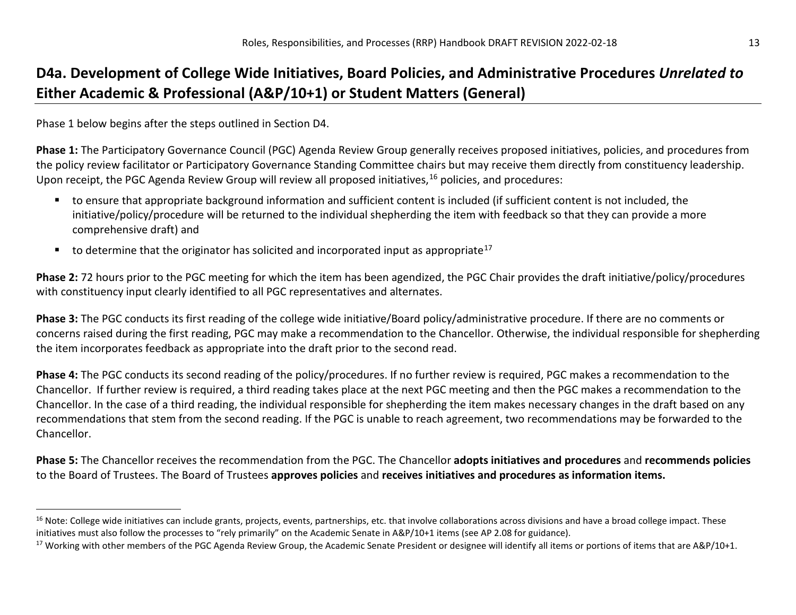## <span id="page-12-1"></span><span id="page-12-0"></span>**D4a. Development of College Wide Initiatives, Board Policies, and Administrative Procedures** *Unrelated to* **Either Academic & Professional (A&P/10+1) or Student Matters (General)**

Phase 1 below begins after the steps outlined in Section D4.

**Phase 1:** The Participatory Governance Council (PGC) Agenda Review Group generally receives proposed initiatives, policies, and procedures from the policy review facilitator or Participatory Governance Standing Committee chairs but may receive them directly from constituency leadership. Upon receipt, the PGC Agenda Review Group will review all proposed initiatives,<sup>[16](#page-12-0)</sup> policies, and procedures:

- to ensure that appropriate background information and sufficient content is included (if sufficient content is not included, the initiative/policy/procedure will be returned to the individual shepherding the item with feedback so that they can provide a more comprehensive draft) and
- to determine that the originator has solicited and incorporated input as appropriate<sup>17</sup>

**Phase 2:** 72 hours prior to the PGC meeting for which the item has been agendized, the PGC Chair provides the draft initiative/policy/procedures with constituency input clearly identified to all PGC representatives and alternates.

**Phase 3:** The PGC conducts its first reading of the college wide initiative/Board policy/administrative procedure. If there are no comments or concerns raised during the first reading, PGC may make a recommendation to the Chancellor. Otherwise, the individual responsible for shepherding the item incorporates feedback as appropriate into the draft prior to the second read.

**Phase 4:** The PGC conducts its second reading of the policy/procedures. If no further review is required, PGC makes a recommendation to the Chancellor. If further review is required, a third reading takes place at the next PGC meeting and then the PGC makes a recommendation to the Chancellor. In the case of a third reading, the individual responsible for shepherding the item makes necessary changes in the draft based on any recommendations that stem from the second reading. If the PGC is unable to reach agreement, two recommendations may be forwarded to the Chancellor.

**Phase 5:** The Chancellor receives the recommendation from the PGC. The Chancellor **adopts initiatives and procedures** and **recommends policies** to the Board of Trustees. The Board of Trustees **approves policies** and **receives initiatives and procedures as information items.**

<sup>&</sup>lt;sup>16</sup> Note: College wide initiatives can include grants, projects, events, partnerships, etc. that involve collaborations across divisions and have a broad college impact. These initiatives must also follow the processes to "rely primarily" on the Academic Senate in A&P/10+1 items (see AP 2.08 for guidance).

<sup>&</sup>lt;sup>17</sup> Working with other members of the PGC Agenda Review Group, the Academic Senate President or designee will identify all items or portions of items that are A&P/10+1.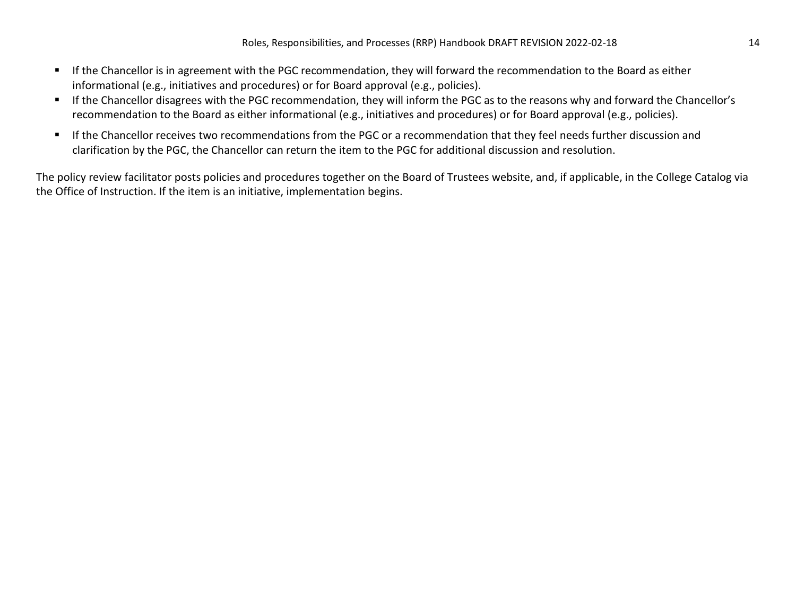- If the Chancellor is in agreement with the PGC recommendation, they will forward the recommendation to the Board as either informational (e.g., initiatives and procedures) or for Board approval (e.g., policies).
- If the Chancellor disagrees with the PGC recommendation, they will inform the PGC as to the reasons why and forward the Chancellor's recommendation to the Board as either informational (e.g., initiatives and procedures) or for Board approval (e.g., policies).
- If the Chancellor receives two recommendations from the PGC or a recommendation that they feel needs further discussion and clarification by the PGC, the Chancellor can return the item to the PGC for additional discussion and resolution.

The policy review facilitator posts policies and procedures together on the Board of Trustees website, and, if applicable, in the College Catalog via the Office of Instruction. If the item is an initiative, implementation begins.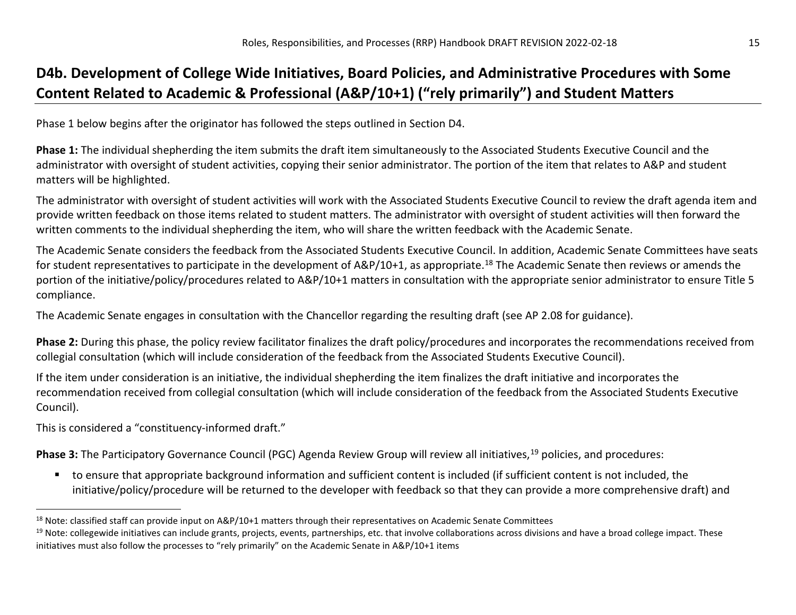## <span id="page-14-1"></span><span id="page-14-0"></span>**D4b. Development of College Wide Initiatives, Board Policies, and Administrative Procedures with Some Content Related to Academic & Professional (A&P/10+1) ("rely primarily") and Student Matters**

Phase 1 below begins after the originator has followed the steps outlined in Section D4.

**Phase 1:** The individual shepherding the item submits the draft item simultaneously to the Associated Students Executive Council and the administrator with oversight of student activities, copying their senior administrator. The portion of the item that relates to A&P and student matters will be highlighted.

The administrator with oversight of student activities will work with the Associated Students Executive Council to review the draft agenda item and provide written feedback on those items related to student matters. The administrator with oversight of student activities will then forward the written comments to the individual shepherding the item, who will share the written feedback with the Academic Senate.

The Academic Senate considers the feedback from the Associated Students Executive Council. In addition, Academic Senate Committees have seats for student representatives to participate in the development of A&P/10+1, as appropriate.<sup>18</sup> The Academic Senate then reviews or amends the portion of the initiative/policy/procedures related to A&P/10+1 matters in consultation with the appropriate senior administrator to ensure Title 5 compliance.

The Academic Senate engages in consultation with the Chancellor regarding the resulting draft (see AP 2.08 for guidance).

**Phase 2:** During this phase, the policy review facilitator finalizes the draft policy/procedures and incorporates the recommendations received from collegial consultation (which will include consideration of the feedback from the Associated Students Executive Council).

If the item under consideration is an initiative, the individual shepherding the item finalizes the draft initiative and incorporates the recommendation received from collegial consultation (which will include consideration of the feedback from the Associated Students Executive Council).

This is considered a "constituency-informed draft."

Phase 3: The Participatory Governance Council (PGC) Agenda Review Group will review all initiatives,<sup>[19](#page-14-1)</sup> policies, and procedures:

 to ensure that appropriate background information and sufficient content is included (if sufficient content is not included, the initiative/policy/procedure will be returned to the developer with feedback so that they can provide a more comprehensive draft) and

 $18$  Note: classified staff can provide input on A&P/10+1 matters through their representatives on Academic Senate Committees

<sup>&</sup>lt;sup>19</sup> Note: collegewide initiatives can include grants, projects, events, partnerships, etc. that involve collaborations across divisions and have a broad college impact. These initiatives must also follow the processes to "rely primarily" on the Academic Senate in A&P/10+1 items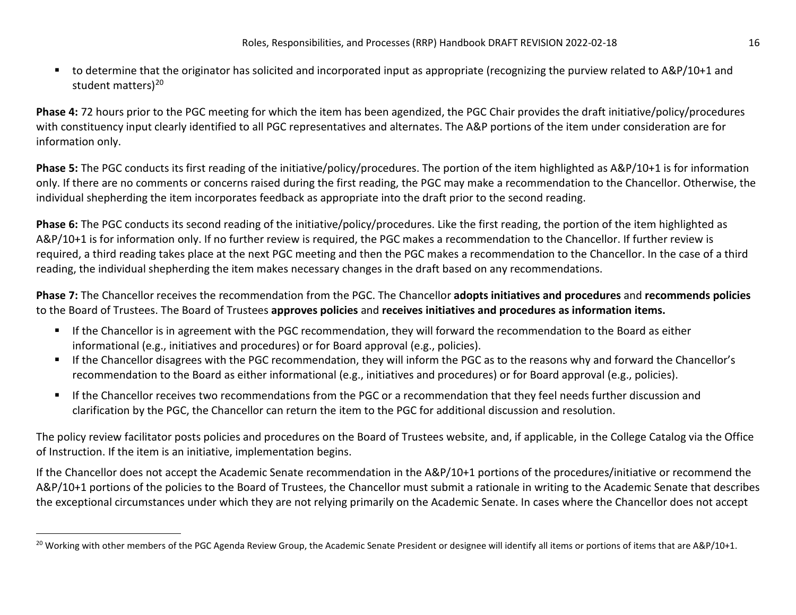<span id="page-15-0"></span>■ to determine that the originator has solicited and incorporated input as appropriate (recognizing the purview related to A&P/10+1 and student matters)<sup>[20](#page-15-0)</sup>

**Phase 4:** 72 hours prior to the PGC meeting for which the item has been agendized, the PGC Chair provides the draft initiative/policy/procedures with constituency input clearly identified to all PGC representatives and alternates. The A&P portions of the item under consideration are for information only.

**Phase 5:** The PGC conducts its first reading of the initiative/policy/procedures. The portion of the item highlighted as A&P/10+1 is for information only. If there are no comments or concerns raised during the first reading, the PGC may make a recommendation to the Chancellor. Otherwise, the individual shepherding the item incorporates feedback as appropriate into the draft prior to the second reading.

**Phase 6:** The PGC conducts its second reading of the initiative/policy/procedures. Like the first reading, the portion of the item highlighted as A&P/10+1 is for information only. If no further review is required, the PGC makes a recommendation to the Chancellor. If further review is required, a third reading takes place at the next PGC meeting and then the PGC makes a recommendation to the Chancellor. In the case of a third reading, the individual shepherding the item makes necessary changes in the draft based on any recommendations.

**Phase 7:** The Chancellor receives the recommendation from the PGC. The Chancellor **adopts initiatives and procedures** and **recommends policies** to the Board of Trustees. The Board of Trustees **approves policies** and **receives initiatives and procedures as information items.**

- **If the Chancellor is in agreement with the PGC recommendation, they will forward the recommendation to the Board as either** informational (e.g., initiatives and procedures) or for Board approval (e.g., policies).
- If the Chancellor disagrees with the PGC recommendation, they will inform the PGC as to the reasons why and forward the Chancellor's recommendation to the Board as either informational (e.g., initiatives and procedures) or for Board approval (e.g., policies).
- If the Chancellor receives two recommendations from the PGC or a recommendation that they feel needs further discussion and clarification by the PGC, the Chancellor can return the item to the PGC for additional discussion and resolution.

The policy review facilitator posts policies and procedures on the Board of Trustees website, and, if applicable, in the College Catalog via the Office of Instruction. If the item is an initiative, implementation begins.

If the Chancellor does not accept the Academic Senate recommendation in the A&P/10+1 portions of the procedures/initiative or recommend the A&P/10+1 portions of the policies to the Board of Trustees, the Chancellor must submit a rationale in writing to the Academic Senate that describes the exceptional circumstances under which they are not relying primarily on the Academic Senate. In cases where the Chancellor does not accept

<sup>&</sup>lt;sup>20</sup> Working with other members of the PGC Agenda Review Group, the Academic Senate President or designee will identify all items or portions of items that are A&P/10+1.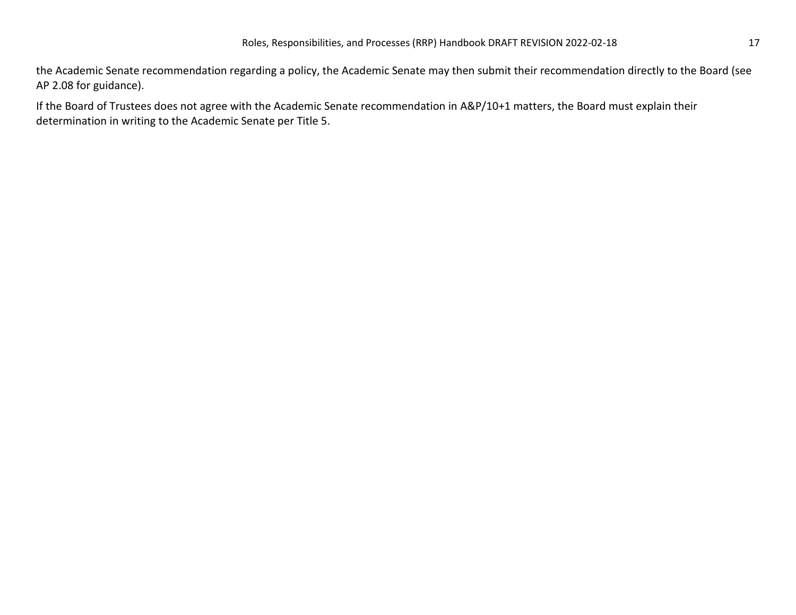the Academic Senate recommendation regarding a policy, the Academic Senate may then submit their recommendation directly to the Board (see AP 2.08 for guidance).

If the Board of Trustees does not agree with the Academic Senate recommendation in A&P/10+1 matters, the Board must explain their determination in writing to the Academic Senate per Title 5.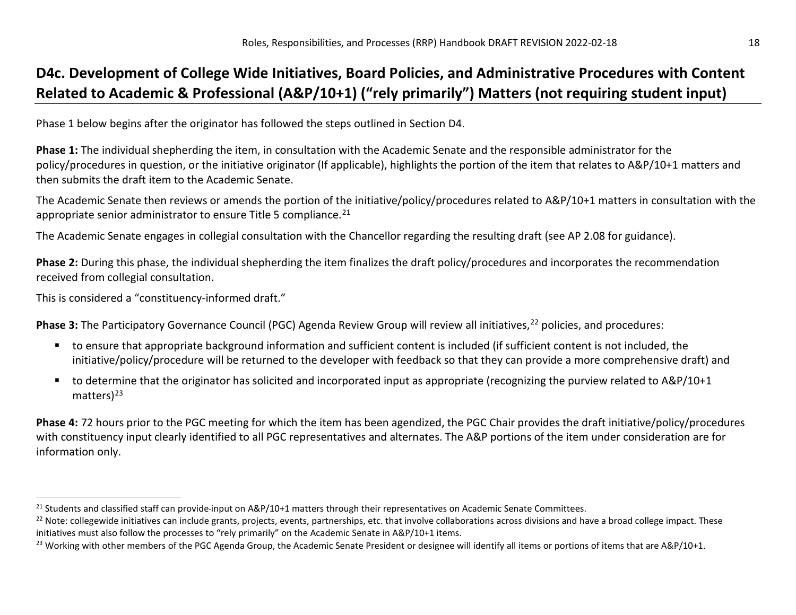## <span id="page-17-2"></span><span id="page-17-1"></span><span id="page-17-0"></span>**D4c. Development of College Wide Initiatives, Board Policies, and Administrative Procedures with Content Related to Academic & Professional (A&P/10+1) ("rely primarily") Matters (not requiring student input)**

Phase 1 below begins after the originator has followed the steps outlined in Section D4.

**Phase 1:** The individual shepherding the item, in consultation with the Academic Senate and the responsible administrator for the policy/procedures in question, or the initiative originator (If applicable), highlights the portion of the item that relates to A&P/10+1 matters and then submits the draft item to the Academic Senate.

The Academic Senate then reviews or amends the portion of the initiative/policy/procedures related to A&P/10+1 matters in consultation with the appropriate senior administrator to ensure Title 5 compliance.<sup>21</sup>

The Academic Senate engages in collegial consultation with the Chancellor regarding the resulting draft (see AP 2.08 for guidance).

**Phase 2:** During this phase, the individual shepherding the item finalizes the draft policy/procedures and incorporates the recommendation received from collegial consultation.

This is considered a "constituency-informed draft."

**Phase 3:** The Participatory Governance Council (PGC) Agenda Review Group will review all initiatives,<sup>[22](#page-17-1)</sup> policies, and procedures:

- to ensure that appropriate background information and sufficient content is included (if sufficient content is not included, the initiative/policy/procedure will be returned to the developer with feedback so that they can provide a more comprehensive draft) and
- to determine that the originator has solicited and incorporated input as appropriate (recognizing the purview related to A&P/10+1 matters $)^{23}$  $)^{23}$  $)^{23}$

**Phase 4:** 72 hours prior to the PGC meeting for which the item has been agendized, the PGC Chair provides the draft initiative/policy/procedures with constituency input clearly identified to all PGC representatives and alternates. The A&P portions of the item under consideration are for information only.

<sup>&</sup>lt;sup>21</sup> Students and classified staff can provide-input on A&P/10+1 matters through their representatives on Academic Senate Committees.

<sup>&</sup>lt;sup>22</sup> Note: collegewide initiatives can include grants, projects, events, partnerships, etc. that involve collaborations across divisions and have a broad college impact. These initiatives must also follow the processes to "rely primarily" on the Academic Senate in A&P/10+1 items.

<sup>&</sup>lt;sup>23</sup> Working with other members of the PGC Agenda Group, the Academic Senate President or designee will identify all items or portions of items that are A&P/10+1.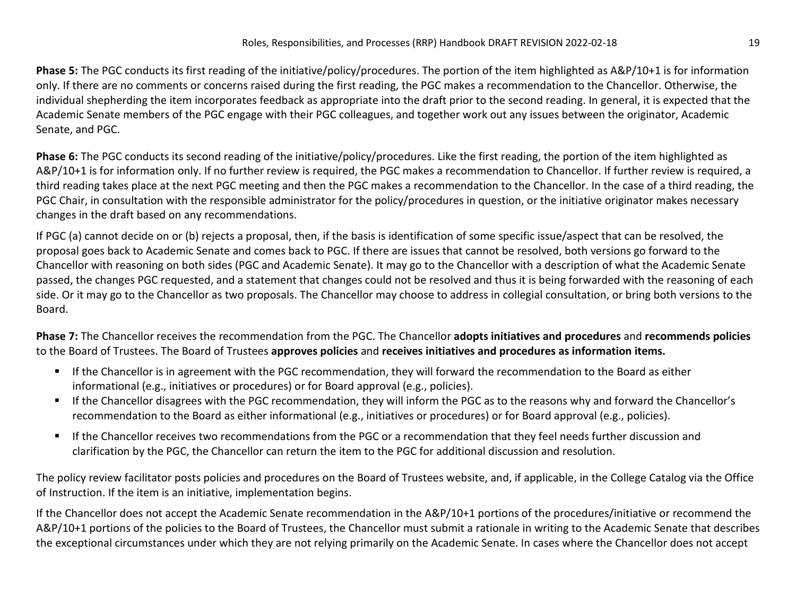**Phase 5:** The PGC conducts its first reading of the initiative/policy/procedures. The portion of the item highlighted as A&P/10+1 is for information only. If there are no comments or concerns raised during the first reading, the PGC makes a recommendation to the Chancellor. Otherwise, the individual shepherding the item incorporates feedback as appropriate into the draft prior to the second reading. In general, it is expected that the Academic Senate members of the PGC engage with their PGC colleagues, and together work out any issues between the originator, Academic Senate, and PGC.

**Phase 6:** The PGC conducts its second reading of the initiative/policy/procedures. Like the first reading, the portion of the item highlighted as A&P/10+1 is for information only. If no further review is required, the PGC makes a recommendation to Chancellor. If further review is required, a third reading takes place at the next PGC meeting and then the PGC makes a recommendation to the Chancellor. In the case of a third reading, the PGC Chair, in consultation with the responsible administrator for the policy/procedures in question, or the initiative originator makes necessary changes in the draft based on any recommendations.

If PGC (a) cannot decide on or (b) rejects a proposal, then, if the basis is identification of some specific issue/aspect that can be resolved, the proposal goes back to Academic Senate and comes back to PGC. If there are issues that cannot be resolved, both versions go forward to the Chancellor with reasoning on both sides (PGC and Academic Senate). It may go to the Chancellor with a description of what the Academic Senate passed, the changes PGC requested, and a statement that changes could not be resolved and thus it is being forwarded with the reasoning of each side. Or it may go to the Chancellor as two proposals. The Chancellor may choose to address in collegial consultation, or bring both versions to the Board.

**Phase 7:** The Chancellor receives the recommendation from the PGC. The Chancellor **adopts initiatives and procedures** and **recommends policies** to the Board of Trustees. The Board of Trustees **approves policies** and **receives initiatives and procedures as information items.**

- If the Chancellor is in agreement with the PGC recommendation, they will forward the recommendation to the Board as either informational (e.g., initiatives or procedures) or for Board approval (e.g., policies).
- If the Chancellor disagrees with the PGC recommendation, they will inform the PGC as to the reasons why and forward the Chancellor's recommendation to the Board as either informational (e.g., initiatives or procedures) or for Board approval (e.g., policies).
- If the Chancellor receives two recommendations from the PGC or a recommendation that they feel needs further discussion and clarification by the PGC, the Chancellor can return the item to the PGC for additional discussion and resolution.

The policy review facilitator posts policies and procedures on the Board of Trustees website, and, if applicable, in the College Catalog via the Office of Instruction. If the item is an initiative, implementation begins.

If the Chancellor does not accept the Academic Senate recommendation in the A&P/10+1 portions of the procedures/initiative or recommend the A&P/10+1 portions of the policies to the Board of Trustees, the Chancellor must submit a rationale in writing to the Academic Senate that describes the exceptional circumstances under which they are not relying primarily on the Academic Senate. In cases where the Chancellor does not accept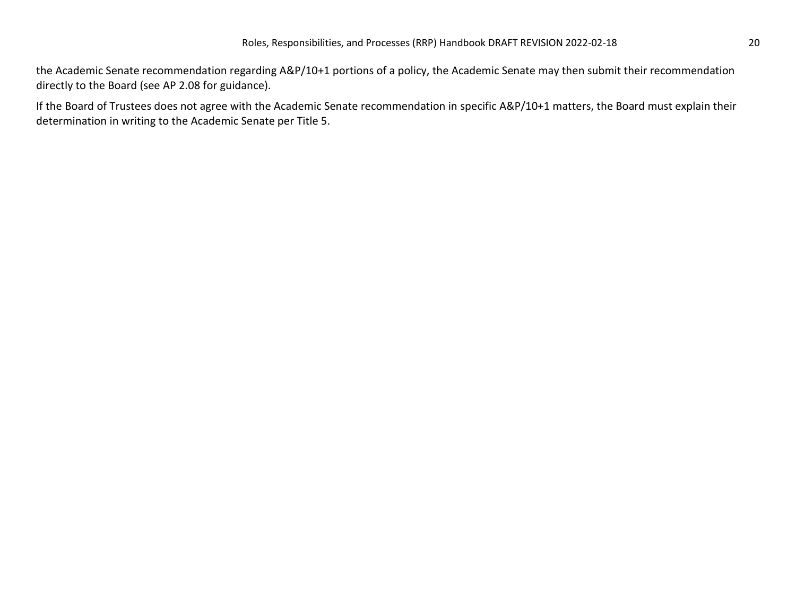the Academic Senate recommendation regarding A&P/10+1 portions of a policy, the Academic Senate may then submit their recommendation directly to the Board (see AP 2.08 for guidance).

If the Board of Trustees does not agree with the Academic Senate recommendation in specific A&P/10+1 matters, the Board must explain their determination in writing to the Academic Senate per Title 5.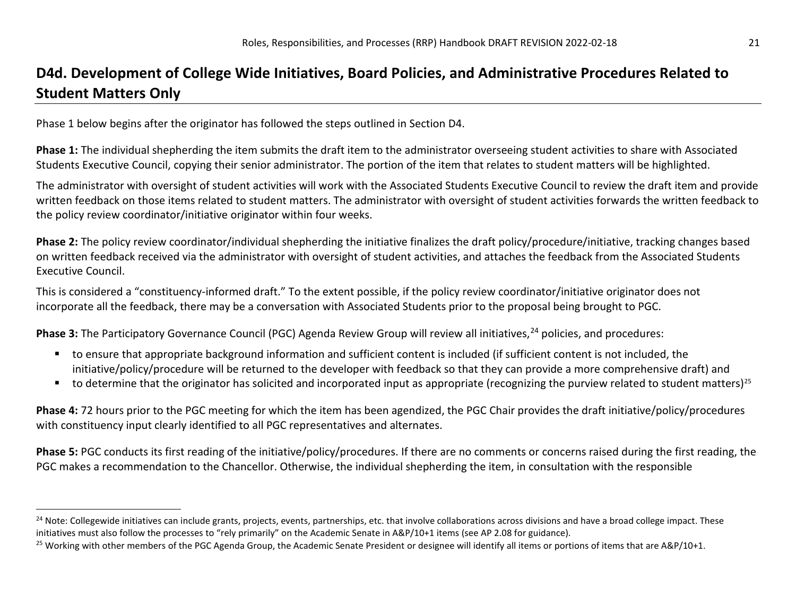# <span id="page-20-1"></span><span id="page-20-0"></span>**D4d. Development of College Wide Initiatives, Board Policies, and Administrative Procedures Related to Student Matters Only**

Phase 1 below begins after the originator has followed the steps outlined in Section D4.

**Phase 1:** The individual shepherding the item submits the draft item to the administrator overseeing student activities to share with Associated Students Executive Council, copying their senior administrator. The portion of the item that relates to student matters will be highlighted.

The administrator with oversight of student activities will work with the Associated Students Executive Council to review the draft item and provide written feedback on those items related to student matters. The administrator with oversight of student activities forwards the written feedback to the policy review coordinator/initiative originator within four weeks.

**Phase 2:** The policy review coordinator/individual shepherding the initiative finalizes the draft policy/procedure/initiative, tracking changes based on written feedback received via the administrator with oversight of student activities, and attaches the feedback from the Associated Students Executive Council.

This is considered a "constituency-informed draft." To the extent possible, if the policy review coordinator/initiative originator does not incorporate all the feedback, there may be a conversation with Associated Students prior to the proposal being brought to PGC.

**Phase 3:** The Participatory Governance Council (PGC) Agenda Review Group will review all initiatives,<sup>[24](#page-20-0)</sup> policies, and procedures:

- to ensure that appropriate background information and sufficient content is included (if sufficient content is not included, the initiative/policy/procedure will be returned to the developer with feedback so that they can provide a more comprehensive draft) and
- to determine that the originator has solicited and incorporated input as appropriate (recognizing the purview related to student matters)<sup>[25](#page-20-1)</sup>

**Phase 4:** 72 hours prior to the PGC meeting for which the item has been agendized, the PGC Chair provides the draft initiative/policy/procedures with constituency input clearly identified to all PGC representatives and alternates.

**Phase 5:** PGC conducts its first reading of the initiative/policy/procedures. If there are no comments or concerns raised during the first reading, the PGC makes a recommendation to the Chancellor. Otherwise, the individual shepherding the item, in consultation with the responsible

<sup>&</sup>lt;sup>24</sup> Note: Collegewide initiatives can include grants, projects, events, partnerships, etc. that involve collaborations across divisions and have a broad college impact. These initiatives must also follow the processes to "rely primarily" on the Academic Senate in A&P/10+1 items (see AP 2.08 for guidance).

<sup>&</sup>lt;sup>25</sup> Working with other members of the PGC Agenda Group, the Academic Senate President or designee will identify all items or portions of items that are A&P/10+1.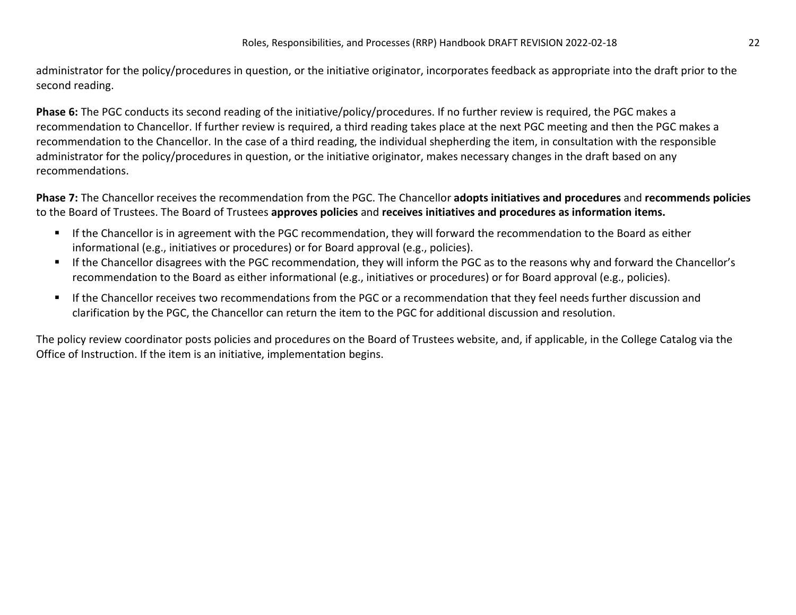administrator for the policy/procedures in question, or the initiative originator, incorporates feedback as appropriate into the draft prior to the second reading.

**Phase 6:** The PGC conducts its second reading of the initiative/policy/procedures. If no further review is required, the PGC makes a recommendation to Chancellor. If further review is required, a third reading takes place at the next PGC meeting and then the PGC makes a recommendation to the Chancellor. In the case of a third reading, the individual shepherding the item, in consultation with the responsible administrator for the policy/procedures in question, or the initiative originator, makes necessary changes in the draft based on any recommendations.

**Phase 7:** The Chancellor receives the recommendation from the PGC. The Chancellor **adopts initiatives and procedures** and **recommends policies** to the Board of Trustees. The Board of Trustees **approves policies** and **receives initiatives and procedures as information items.**

- If the Chancellor is in agreement with the PGC recommendation, they will forward the recommendation to the Board as either informational (e.g., initiatives or procedures) or for Board approval (e.g., policies).
- If the Chancellor disagrees with the PGC recommendation, they will inform the PGC as to the reasons why and forward the Chancellor's recommendation to the Board as either informational (e.g., initiatives or procedures) or for Board approval (e.g., policies).
- If the Chancellor receives two recommendations from the PGC or a recommendation that they feel needs further discussion and clarification by the PGC, the Chancellor can return the item to the PGC for additional discussion and resolution.

The policy review coordinator posts policies and procedures on the Board of Trustees website, and, if applicable, in the College Catalog via the Office of Instruction. If the item is an initiative, implementation begins.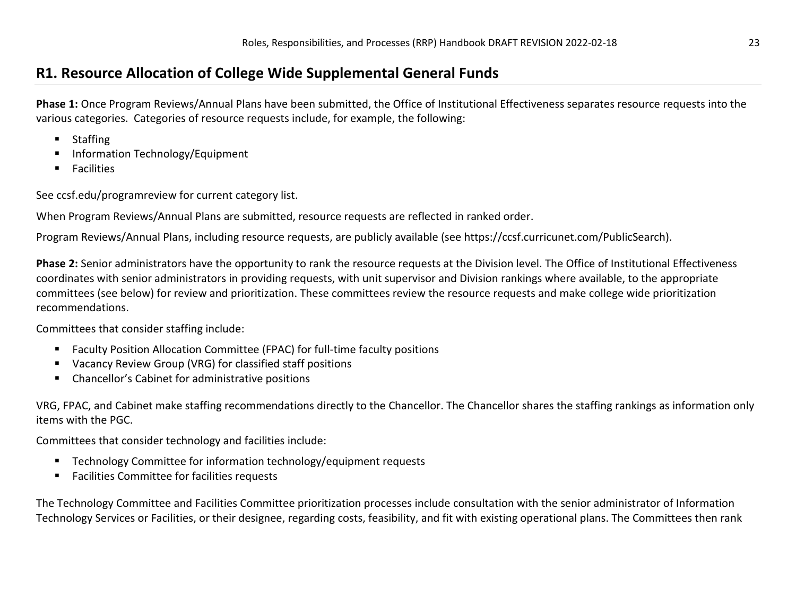## **R1. Resource Allocation of College Wide Supplemental General Funds**

**Phase 1:** Once Program Reviews/Annual Plans have been submitted, the Office of Institutional Effectiveness separates resource requests into the various categories. Categories of resource requests include, for example, the following:

- Staffing
- Information Technology/Equipment
- **Facilities**

See ccsf.edu/programreview for current category list.

When Program Reviews/Annual Plans are submitted, resource requests are reflected in ranked order.

Program Reviews/Annual Plans, including resource requests, are publicly available (see https://ccsf.curricunet.com/PublicSearch).

**Phase 2:** Senior administrators have the opportunity to rank the resource requests at the Division level. The Office of Institutional Effectiveness coordinates with senior administrators in providing requests, with unit supervisor and Division rankings where available, to the appropriate committees (see below) for review and prioritization. These committees review the resource requests and make college wide prioritization recommendations.

Committees that consider staffing include:

- Faculty Position Allocation Committee (FPAC) for full-time faculty positions
- Vacancy Review Group (VRG) for classified staff positions
- Chancellor's Cabinet for administrative positions

VRG, FPAC, and Cabinet make staffing recommendations directly to the Chancellor. The Chancellor shares the staffing rankings as information only items with the PGC.

Committees that consider technology and facilities include:

- Technology Committee for information technology/equipment requests
- **Facilities Committee for facilities requests**

The Technology Committee and Facilities Committee prioritization processes include consultation with the senior administrator of Information Technology Services or Facilities, or their designee, regarding costs, feasibility, and fit with existing operational plans. The Committees then rank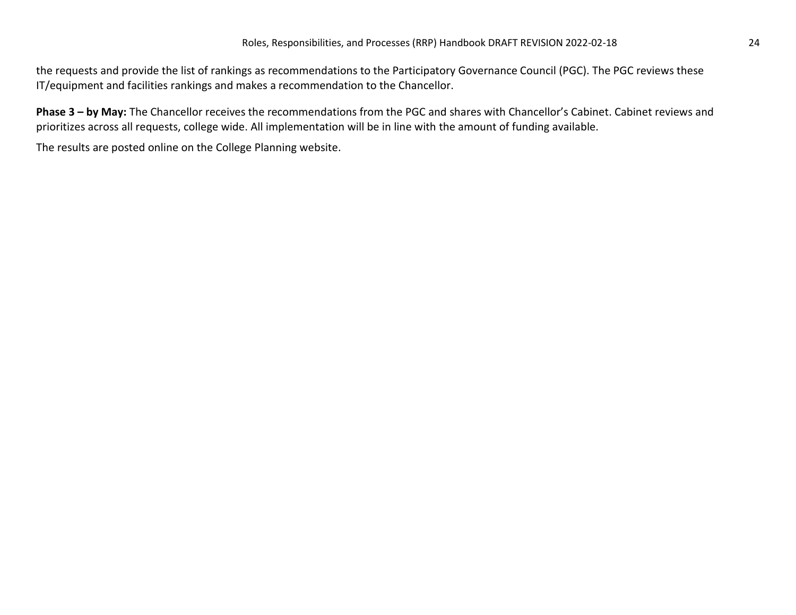the requests and provide the list of rankings as recommendations to the Participatory Governance Council (PGC). The PGC reviews these IT/equipment and facilities rankings and makes a recommendation to the Chancellor.

**Phase 3 – by May:** The Chancellor receives the recommendations from the PGC and shares with Chancellor's Cabinet. Cabinet reviews and prioritizes across all requests, college wide. All implementation will be in line with the amount of funding available.

The results are posted online on the College Planning website.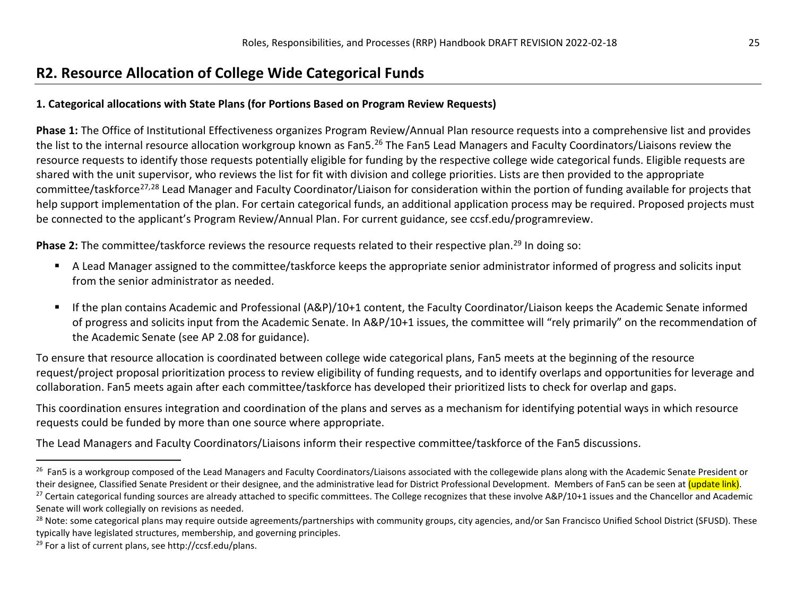## <span id="page-24-3"></span><span id="page-24-2"></span><span id="page-24-1"></span><span id="page-24-0"></span>**R2. Resource Allocation of College Wide Categorical Funds**

#### **1. Categorical allocations with State Plans (for Portions Based on Program Review Requests)**

**Phase 1:** The Office of Institutional Effectiveness organizes Program Review/Annual Plan resource requests into a comprehensive list and provides the list to the internal resource allocation workgroup known as Fan5.<sup>[26](#page-24-0)</sup> The Fan5 Lead Managers and Faculty Coordinators/Liaisons review the resource requests to identify those requests potentially eligible for funding by the respective college wide categorical funds. Eligible requests are shared with the unit supervisor, who reviews the list for fit with division and college priorities. Lists are then provided to the appropriate committee/taskforce<sup>[27,](#page-24-1)[28](#page-24-2)</sup> Lead Manager and Faculty Coordinator/Liaison for consideration within the portion of funding available for projects that help support implementation of the plan. For certain categorical funds, an additional application process may be required. Proposed projects must be connected to the applicant's Program Review/Annual Plan. For current guidance, see ccsf.edu/programreview.

**Phase 2:** The committee/taskforce reviews the resource requests related to their respective plan.<sup>[29](#page-24-3)</sup> In doing so:

- A Lead Manager assigned to the committee/taskforce keeps the appropriate senior administrator informed of progress and solicits input from the senior administrator as needed.
- If the plan contains Academic and Professional (A&P)/10+1 content, the Faculty Coordinator/Liaison keeps the Academic Senate informed of progress and solicits input from the Academic Senate. In A&P/10+1 issues, the committee will "rely primarily" on the recommendation of the Academic Senate (see AP 2.08 for guidance).

To ensure that resource allocation is coordinated between college wide categorical plans, Fan5 meets at the beginning of the resource request/project proposal prioritization process to review eligibility of funding requests, and to identify overlaps and opportunities for leverage and collaboration. Fan5 meets again after each committee/taskforce has developed their prioritized lists to check for overlap and gaps.

This coordination ensures integration and coordination of the plans and serves as a mechanism for identifying potential ways in which resource requests could be funded by more than one source where appropriate.

The Lead Managers and Faculty Coordinators/Liaisons inform their respective committee/taskforce of the Fan5 discussions.

<sup>&</sup>lt;sup>26</sup> Fan5 is a workgroup composed of the Lead Managers and Faculty Coordinators/Liaisons associated with the collegewide plans along with the Academic Senate President or<br>their designee. Classified Senate President or thei

<sup>&</sup>lt;sup>27</sup> Certain categorical funding sources are already attached to specific committees. The College recognizes that these involve A&P/10+1 issues and the Chancellor and Academic Senate will work collegially on revisions as needed.

<sup>&</sup>lt;sup>28</sup> Note: some categorical plans may require outside agreements/partnerships with community groups, city agencies, and/or San Francisco Unified School District (SFUSD). These typically have legislated structures, membership, and governing principles.

<sup>29</sup> For a list of current plans, see http://ccsf.edu/plans.